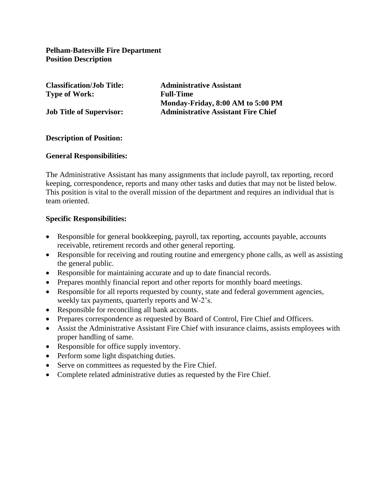**Pelham-Batesville Fire Department Position Description**

**Classification/Job Title: Administrative Assistant Type of Work: Full-Time Monday-Friday, 8:00 AM to 5:00 PM Job Title of Supervisor: Administrative Assistant Fire Chief**

### **Description of Position:**

#### **General Responsibilities:**

The Administrative Assistant has many assignments that include payroll, tax reporting, record keeping, correspondence, reports and many other tasks and duties that may not be listed below. This position is vital to the overall mission of the department and requires an individual that is team oriented.

#### **Specific Responsibilities:**

- Responsible for general bookkeeping, payroll, tax reporting, accounts payable, accounts receivable, retirement records and other general reporting.
- Responsible for receiving and routing routine and emergency phone calls, as well as assisting the general public.
- Responsible for maintaining accurate and up to date financial records.
- Prepares monthly financial report and other reports for monthly board meetings.
- Responsible for all reports requested by county, state and federal government agencies, weekly tax payments, quarterly reports and W-2's.
- Responsible for reconciling all bank accounts.
- Prepares correspondence as requested by Board of Control, Fire Chief and Officers.
- Assist the Administrative Assistant Fire Chief with insurance claims, assists employees with proper handling of same.
- Responsible for office supply inventory.
- Perform some light dispatching duties.
- Serve on committees as requested by the Fire Chief.
- Complete related administrative duties as requested by the Fire Chief.